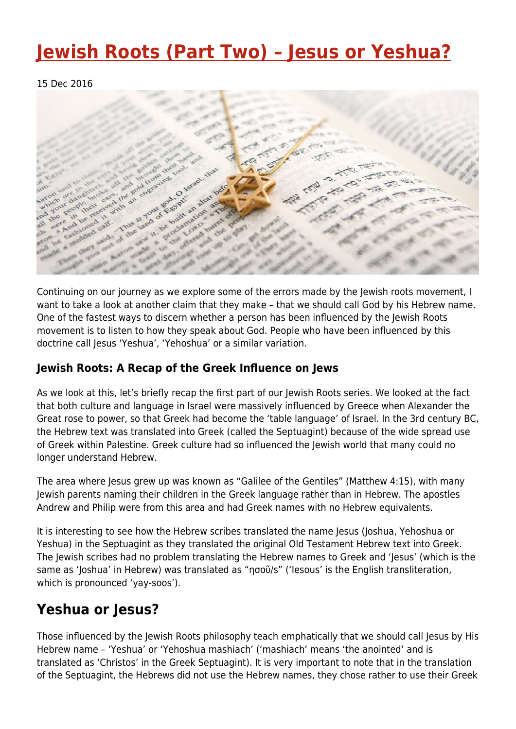## **[Jewish Roots \(Part Two\) – Jesus or Yeshua?](https://four12global.com/articles/jewish-roots-part-two-jesus-or-yeshua/)**

15 Dec 2016



Continuing on our journey as we explore some of the errors made by the Jewish roots movement, I want to take a look at another claim that they make – that we should call God by his Hebrew name. One of the fastest ways to discern whether a person has been influenced by the Jewish Roots movement is to listen to how they speak about God. People who have been influenced by this doctrine call Jesus 'Yeshua', 'Yehoshua' or a similar variation.

## **Jewish Roots: A Recap of the Greek Influence on Jews**

As we look at this, let's briefly recap the first part of our Jewish Roots series. We looked at the fact that both culture and language in Israel were massively influenced by Greece when Alexander the Great rose to power, so that Greek had become the 'table language' of Israel. In the 3rd century BC, the Hebrew text was translated into Greek (called the Septuagint) because of the wide spread use of Greek within Palestine. Greek culture had so influenced the Jewish world that many could no longer understand Hebrew.

The area where Jesus grew up was known as "Galilee of the Gentiles" (Matthew 4:15), with many Jewish parents naming their children in the Greek language rather than in Hebrew. The apostles Andrew and Philip were from this area and had Greek names with no Hebrew equivalents.

It is interesting to see how the Hebrew scribes translated the name Jesus (Joshua, Yehoshua or Yeshua) in the Septuagint as they translated the original Old Testament Hebrew text into Greek. The Jewish scribes had no problem translating the Hebrew names to Greek and 'Jesus' (which is the same as 'Joshua' in Hebrew) was translated as "ησοῦ/s" ('Iesous' is the English transliteration, which is pronounced 'yay-soos').

## **Yeshua or Jesus?**

Those influenced by the Jewish Roots philosophy teach emphatically that we should call Jesus by His Hebrew name – 'Yeshua' or 'Yehoshua mashiach' ('mashiach' means 'the anointed' and is translated as 'Christos' in the Greek Septuagint). It is very important to note that in the translation of the Septuagint, the Hebrews did not use the Hebrew names, they chose rather to use their Greek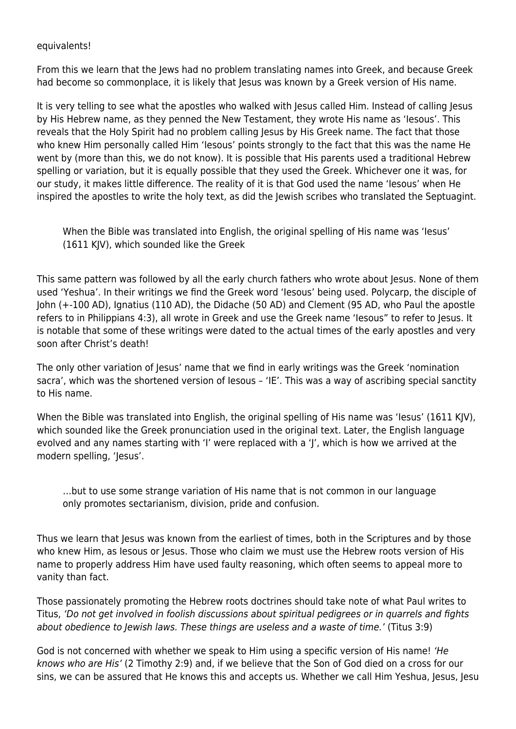## equivalents!

From this we learn that the Jews had no problem translating names into Greek, and because Greek had become so commonplace, it is likely that Jesus was known by a Greek version of His name.

It is very telling to see what the apostles who walked with Jesus called Him. Instead of calling Jesus by His Hebrew name, as they penned the New Testament, they wrote His name as 'Iesous'. This reveals that the Holy Spirit had no problem calling Jesus by His Greek name. The fact that those who knew Him personally called Him 'Iesous' points strongly to the fact that this was the name He went by (more than this, we do not know). It is possible that His parents used a traditional Hebrew spelling or variation, but it is equally possible that they used the Greek. Whichever one it was, for our study, it makes little difference. The reality of it is that God used the name 'Iesous' when He inspired the apostles to write the holy text, as did the Jewish scribes who translated the Septuagint.

When the Bible was translated into English, the original spelling of His name was 'Iesus' (1611 KJV), which sounded like the Greek

This same pattern was followed by all the early church fathers who wrote about Jesus. None of them used 'Yeshua'. In their writings we find the Greek word 'Iesous' being used. Polycarp, the disciple of John (+-100 AD), Ignatius (110 AD), the Didache (50 AD) and Clement (95 AD, who Paul the apostle refers to in Philippians 4:3), all wrote in Greek and use the Greek name 'Iesous" to refer to Jesus. It is notable that some of these writings were dated to the actual times of the early apostles and very soon after Christ's death!

The only other variation of Jesus' name that we find in early writings was the Greek 'nomination sacra', which was the shortened version of Iesous – 'IE'. This was a way of ascribing special sanctity to His name.

When the Bible was translated into English, the original spelling of His name was 'Iesus' (1611 KJV), which sounded like the Greek pronunciation used in the original text. Later, the English language evolved and any names starting with 'I' were replaced with a 'J', which is how we arrived at the modern spelling, 'Jesus'.

…but to use some strange variation of His name that is not common in our language only promotes sectarianism, division, pride and confusion.

Thus we learn that Jesus was known from the earliest of times, both in the Scriptures and by those who knew Him, as Iesous or Jesus. Those who claim we must use the Hebrew roots version of His name to properly address Him have used faulty reasoning, which often seems to appeal more to vanity than fact.

Those passionately promoting the Hebrew roots doctrines should take note of what Paul writes to Titus, 'Do not get involved in foolish discussions about spiritual pedigrees or in quarrels and fights about obedience to Jewish laws. These things are useless and a waste of time.' (Titus 3:9)

God is not concerned with whether we speak to Him using a specific version of His name! 'He knows who are His' (2 Timothy 2:9) and, if we believe that the Son of God died on a cross for our sins, we can be assured that He knows this and accepts us. Whether we call Him Yeshua, Jesus, Jesu